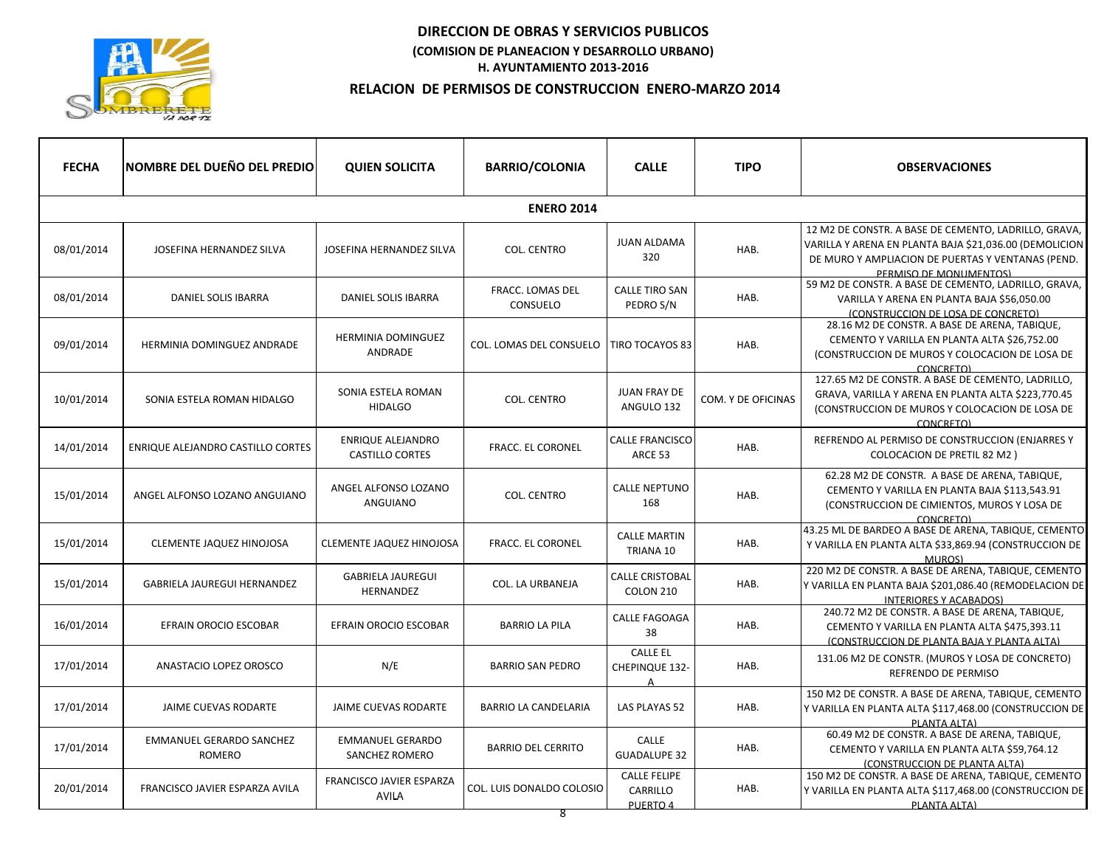

| <b>FECHA</b>      | <b>NOMBRE DEL DUEÑO DEL PREDIO</b>        | <b>QUIEN SOLICITA</b>                              | <b>BARRIO/COLONIA</b>        | <b>CALLE</b>                                  | <b>TIPO</b>        | <b>OBSERVACIONES</b>                                                                                                                                                                          |  |  |
|-------------------|-------------------------------------------|----------------------------------------------------|------------------------------|-----------------------------------------------|--------------------|-----------------------------------------------------------------------------------------------------------------------------------------------------------------------------------------------|--|--|
| <b>ENERO 2014</b> |                                           |                                                    |                              |                                               |                    |                                                                                                                                                                                               |  |  |
| 08/01/2014        | JOSEFINA HERNANDEZ SILVA                  | JOSEFINA HERNANDEZ SILVA                           | <b>COL. CENTRO</b>           | JUAN ALDAMA<br>320                            | HAB.               | 12 M2 DE CONSTR. A BASE DE CEMENTO, LADRILLO, GRAVA,<br>VARILLA Y ARENA EN PLANTA BAJA \$21,036.00 (DEMOLICION<br>DE MURO Y AMPLIACION DE PUERTAS Y VENTANAS (PEND.<br>PERMISO DE MONUMENTOS) |  |  |
| 08/01/2014        | DANIEL SOLIS IBARRA                       | DANIEL SOLIS IBARRA                                | FRACC. LOMAS DEL<br>CONSUELO | <b>CALLE TIRO SAN</b><br>PEDRO S/N            | HAB.               | 59 M2 DE CONSTR. A BASE DE CEMENTO, LADRILLO, GRAVA,<br>VARILLA Y ARENA EN PLANTA BAJA \$56,050.00<br>(CONSTRUCCION DE LOSA DE CONCRETO)                                                      |  |  |
| 09/01/2014        | HERMINIA DOMINGUEZ ANDRADE                | <b>HERMINIA DOMINGUEZ</b><br>ANDRADE               | COL. LOMAS DEL CONSUELO      | <b>TIRO TOCAYOS 83</b>                        | HAB.               | 28.16 M2 DE CONSTR. A BASE DE ARENA, TABIQUE,<br>CEMENTO Y VARILLA EN PLANTA ALTA \$26,752.00<br>(CONSTRUCCION DE MUROS Y COLOCACION DE LOSA DE<br>CONCRETO)                                  |  |  |
| 10/01/2014        | SONIA ESTELA ROMAN HIDALGO                | SONIA ESTELA ROMAN<br><b>HIDALGO</b>               | <b>COL. CENTRO</b>           | JUAN FRAY DE<br>ANGULO 132                    | COM. Y DE OFICINAS | 127.65 M2 DE CONSTR. A BASE DE CEMENTO, LADRILLO,<br>GRAVA, VARILLA Y ARENA EN PLANTA ALTA \$223,770.45<br>(CONSTRUCCION DE MUROS Y COLOCACION DE LOSA DE<br>CONCRETO)                        |  |  |
| 14/01/2014        | ENRIQUE ALEJANDRO CASTILLO CORTES         | <b>ENRIQUE ALEJANDRO</b><br><b>CASTILLO CORTES</b> | <b>FRACC. EL CORONEL</b>     | <b>CALLE FRANCISCO</b><br>ARCE 53             | HAB.               | REFRENDO AL PERMISO DE CONSTRUCCION (ENJARRES Y<br><b>COLOCACION DE PRETIL 82 M2)</b>                                                                                                         |  |  |
| 15/01/2014        | ANGEL ALFONSO LOZANO ANGUIANO             | ANGEL ALFONSO LOZANO<br>ANGUIANO                   | <b>COL. CENTRO</b>           | <b>CALLE NEPTUNO</b><br>168                   | HAB.               | 62.28 M2 DE CONSTR. A BASE DE ARENA, TABIQUE,<br>CEMENTO Y VARILLA EN PLANTA BAJA \$113,543.91<br>(CONSTRUCCION DE CIMIENTOS, MUROS Y LOSA DE<br>CONCRETO)                                    |  |  |
| 15/01/2014        | CLEMENTE JAQUEZ HINOJOSA                  | <b>CLEMENTE JAQUEZ HINOJOSA</b>                    | <b>FRACC. EL CORONEL</b>     | <b>CALLE MARTIN</b><br>TRIANA 10              | HAB.               | 43.25 ML DE BARDEO A BASE DE ARENA, TABIQUE, CEMENTO<br>Y VARILLA EN PLANTA ALTA \$33,869.94 (CONSTRUCCION DE<br>MUROS)                                                                       |  |  |
| 15/01/2014        | <b>GABRIELA JAUREGUI HERNANDEZ</b>        | <b>GABRIELA JAUREGUI</b><br>HERNANDEZ              | COL. LA URBANEJA             | <b>CALLE CRISTOBAL</b><br>COLON 210           | HAB.               | 220 M2 DE CONSTR. A BASE DE ARENA, TABIQUE, CEMENTO<br>Y VARILLA EN PLANTA BAJA \$201,086.40 (REMODELACION DE<br><b>INTERIORES Y ACABADOS)</b>                                                |  |  |
| 16/01/2014        | EFRAIN OROCIO ESCOBAR                     | EFRAIN OROCIO ESCOBAR                              | <b>BARRIO LA PILA</b>        | CALLE FAGOAGA<br>38                           | HAB.               | 240.72 M2 DE CONSTR. A BASE DE ARENA, TABIQUE,<br>CEMENTO Y VARILLA EN PLANTA ALTA \$475,393.11<br>(CONSTRUCCION DE PLANTA BAJA Y PLANTA ALTA)                                                |  |  |
| 17/01/2014        | ANASTACIO LOPEZ OROSCO                    | N/E                                                | <b>BARRIO SAN PEDRO</b>      | <b>CALLE EL</b><br>CHEPINQUE 132-<br>$\Delta$ | HAB.               | 131.06 M2 DE CONSTR. (MUROS Y LOSA DE CONCRETO)<br>REFRENDO DE PERMISO                                                                                                                        |  |  |
| 17/01/2014        | JAIME CUEVAS RODARTE                      | JAIME CUEVAS RODARTE                               | <b>BARRIO LA CANDELARIA</b>  | <b>LAS PLAYAS 52</b>                          | HAB.               | 150 M2 DE CONSTR. A BASE DE ARENA, TABIQUE, CEMENTO<br>Y VARILLA EN PLANTA ALTA \$117,468.00 (CONSTRUCCION DE<br>PLANTA ALTA)                                                                 |  |  |
| 17/01/2014        | <b>EMMANUEL GERARDO SANCHEZ</b><br>ROMERO | <b>EMMANUEL GERARDO</b><br>SANCHEZ ROMERO          | <b>BARRIO DEL CERRITO</b>    | CALLE<br><b>GUADALUPE 32</b>                  | HAB.               | 60.49 M2 DE CONSTR. A BASE DE ARENA, TABIQUE,<br>CEMENTO Y VARILLA EN PLANTA ALTA \$59,764.12<br>(CONSTRUCCION DE PLANTA ALTA)                                                                |  |  |
| 20/01/2014        | FRANCISCO JAVIER ESPARZA AVILA            | FRANCISCO JAVIER ESPARZA<br>AVILA                  | COL. LUIS DONALDO COLOSIO    | <b>CALLE FELIPE</b><br>CARRILLO<br>PUERTO 4   | HAB.               | 150 M2 DE CONSTR. A BASE DE ARENA, TABIQUE, CEMENTO<br>Y VARILLA EN PLANTA ALTA \$117,468.00 (CONSTRUCCION DE<br>PLANTA ALTA)                                                                 |  |  |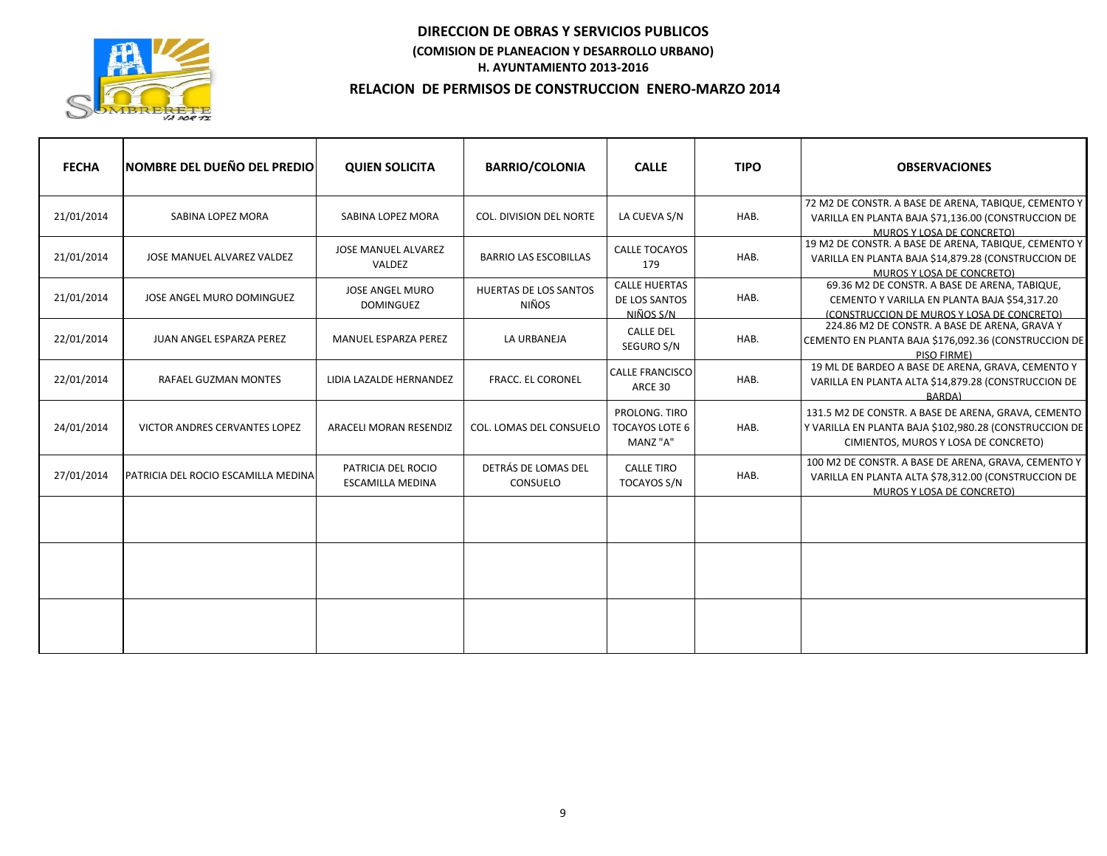

| <b>FECHA</b> | <b>INOMBRE DEL DUEÑO DEL PREDIO</b>  | <b>QUIEN SOLICITA</b>                         | <b>BARRIO/COLONIA</b>           | <b>CALLE</b>                                       | <b>TIPO</b> | <b>OBSERVACIONES</b>                                                                                                                                  |
|--------------|--------------------------------------|-----------------------------------------------|---------------------------------|----------------------------------------------------|-------------|-------------------------------------------------------------------------------------------------------------------------------------------------------|
| 21/01/2014   | SABINA LOPEZ MORA                    | SABINA LOPEZ MORA                             | <b>COL. DIVISION DEL NORTE</b>  | LA CUEVA S/N                                       | HAB.        | 72 M2 DE CONSTR. A BASE DE ARENA, TABIQUE, CEMENTO Y<br>VARILLA EN PLANTA BAJA \$71,136.00 (CONSTRUCCION DE<br>MUROS Y LOSA DE CONCRETO)              |
| 21/01/2014   | JOSE MANUEL ALVAREZ VALDEZ           | <b>JOSE MANUEL ALVAREZ</b><br>VALDEZ          | <b>BARRIO LAS ESCOBILLAS</b>    | <b>CALLE TOCAYOS</b><br>179                        | HAB.        | 19 M2 DE CONSTR. A BASE DE ARENA, TABIQUE, CEMENTO Y<br>VARILLA EN PLANTA BAJA \$14,879.28 (CONSTRUCCION DE<br>MUROS Y LOSA DE CONCRETO)              |
| 21/01/2014   | JOSE ANGEL MURO DOMINGUEZ            | <b>JOSE ANGEL MURO</b><br><b>DOMINGUEZ</b>    | HUERTAS DE LOS SANTOS<br>NIÑOS  | <b>CALLE HUERTAS</b><br>DE LOS SANTOS<br>NIÑOS S/N | HAB.        | 69.36 M2 DE CONSTR. A BASE DE ARENA, TABIQUE,<br>CEMENTO Y VARILLA EN PLANTA BAJA \$54,317.20<br>(CONSTRUCCION DE MUROS Y LOSA DE CONCRETO)           |
| 22/01/2014   | JUAN ANGEL ESPARZA PEREZ             | <b>MANUEL ESPARZA PEREZ</b>                   | LA URBANEJA                     | <b>CALLE DEL</b><br>SEGURO S/N                     | HAB.        | 224.86 M2 DE CONSTR. A BASE DE ARENA, GRAVA Y<br>CEMENTO EN PLANTA BAJA \$176,092.36 (CONSTRUCCION DE<br>PISO FIRME)                                  |
| 22/01/2014   | <b>RAFAEL GUZMAN MONTES</b>          | LIDIA LAZALDE HERNANDEZ                       | <b>FRACC. EL CORONEL</b>        | <b>CALLE FRANCISCO</b><br>ARCE 30                  | HAB.        | 19 ML DE BARDEO A BASE DE ARENA, GRAVA, CEMENTO Y<br>VARILLA EN PLANTA ALTA \$14,879.28 (CONSTRUCCION DE<br>BARDA)                                    |
| 24/01/2014   | <b>VICTOR ANDRES CERVANTES LOPEZ</b> | ARACELI MORAN RESENDIZ                        | COL. LOMAS DEL CONSUELO         | PROLONG. TIRO<br><b>TOCAYOS LOTE 6</b><br>MANZ "A" | HAB.        | 131.5 M2 DE CONSTR. A BASE DE ARENA, GRAVA, CEMENTO<br>Y VARILLA EN PLANTA BAJA \$102,980.28 (CONSTRUCCION DE<br>CIMIENTOS, MUROS Y LOSA DE CONCRETO) |
| 27/01/2014   | PATRICIA DEL ROCIO ESCAMILLA MEDINA  | PATRICIA DEL ROCIO<br><b>ESCAMILLA MEDINA</b> | DETRÁS DE LOMAS DEL<br>CONSUELO | <b>CALLE TIRO</b><br>TOCAYOS S/N                   | HAB.        | 100 M2 DE CONSTR. A BASE DE ARENA, GRAVA, CEMENTO Y<br>VARILLA EN PLANTA ALTA \$78,312.00 (CONSTRUCCION DE<br>MUROS Y LOSA DE CONCRETO)               |
|              |                                      |                                               |                                 |                                                    |             |                                                                                                                                                       |
|              |                                      |                                               |                                 |                                                    |             |                                                                                                                                                       |
|              |                                      |                                               |                                 |                                                    |             |                                                                                                                                                       |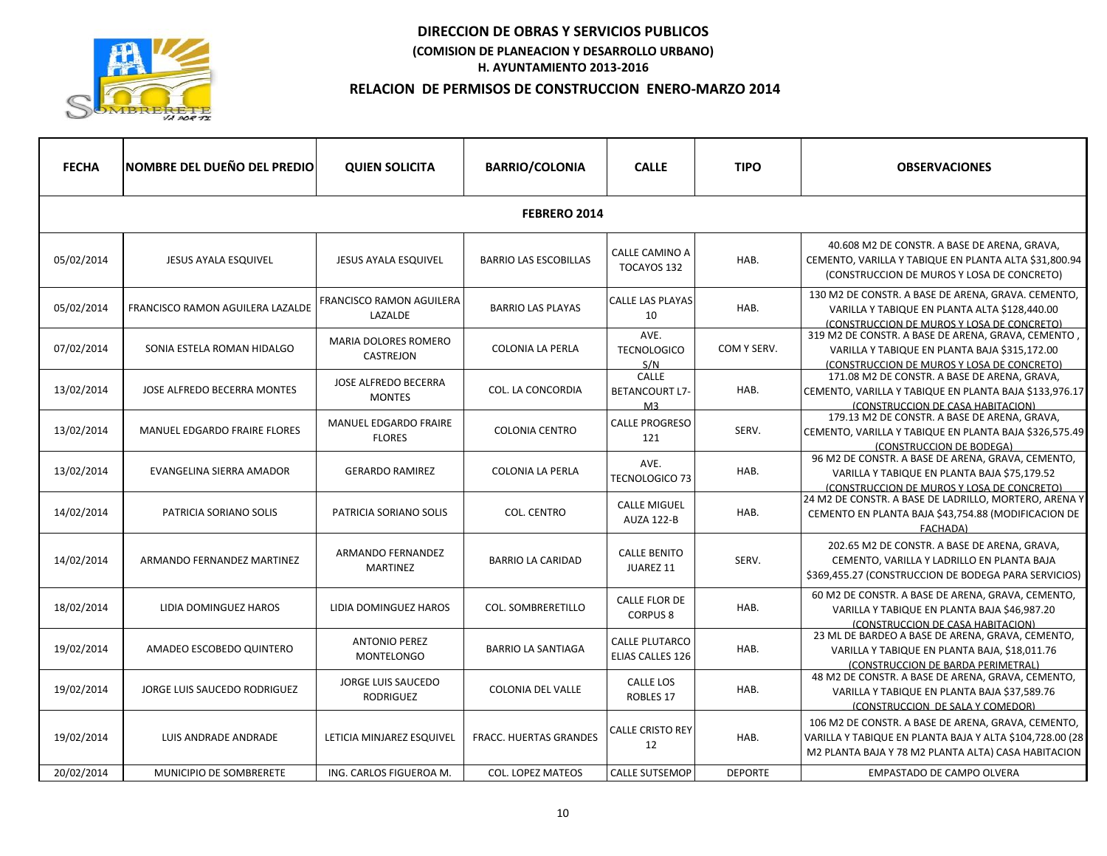

| <b>FECHA</b> | <b>NOMBRE DEL DUEÑO DEL PREDIO</b>  | <b>QUIEN SOLICITA</b>                         | <b>BARRIO/COLONIA</b>         | <b>CALLE</b>                              | <b>TIPO</b>    | <b>OBSERVACIONES</b>                                                                                                                                                  |  |  |
|--------------|-------------------------------------|-----------------------------------------------|-------------------------------|-------------------------------------------|----------------|-----------------------------------------------------------------------------------------------------------------------------------------------------------------------|--|--|
| FEBRERO 2014 |                                     |                                               |                               |                                           |                |                                                                                                                                                                       |  |  |
| 05/02/2014   | JESUS AYALA ESQUIVEL                | JESUS AYALA ESQUIVEL                          | <b>BARRIO LAS ESCOBILLAS</b>  | CALLE CAMINO A<br>TOCAYOS 132             | HAB.           | 40.608 M2 DE CONSTR. A BASE DE ARENA, GRAVA,<br>CEMENTO, VARILLA Y TABIQUE EN PLANTA ALTA \$31,800.94<br>(CONSTRUCCION DE MUROS Y LOSA DE CONCRETO)                   |  |  |
| 05/02/2014   | FRANCISCO RAMON AGUILERA LAZALDE    | <b>FRANCISCO RAMON AGUILERA</b><br>LAZALDE    | <b>BARRIO LAS PLAYAS</b>      | <b>CALLE LAS PLAYAS</b><br>10             | HAB.           | 130 M2 DE CONSTR. A BASE DE ARENA, GRAVA. CEMENTO,<br>VARILLA Y TABIQUE EN PLANTA ALTA \$128,440.00<br>(CONSTRUCCION DE MUROS Y LOSA DE CONCRETO)                     |  |  |
| 07/02/2014   | SONIA ESTELA ROMAN HIDALGO          | <b>MARIA DOLORES ROMERO</b><br>CASTREJON      | <b>COLONIA LA PERLA</b>       | AVE.<br><b>TECNOLOGICO</b><br>S/N         | COM Y SERV.    | 319 M2 DE CONSTR. A BASE DE ARENA, GRAVA, CEMENTO<br>VARILLA Y TABIQUE EN PLANTA BAJA \$315,172.00<br>(CONSTRUCCION DE MUROS Y LOSA DE CONCRETO)                      |  |  |
| 13/02/2014   | JOSE ALFREDO BECERRA MONTES         | JOSE ALFREDO BECERRA<br><b>MONTES</b>         | COL. LA CONCORDIA             | CALLE<br><b>BETANCOURT L7-</b><br>M3      | HAB.           | 171.08 M2 DE CONSTR. A BASE DE ARENA, GRAVA,<br>CEMENTO, VARILLA Y TABIQUE EN PLANTA BAJA \$133,976.17<br>(CONSTRUCCION DE CASA HABITACION)                           |  |  |
| 13/02/2014   | <b>MANUEL EDGARDO FRAIRE FLORES</b> | MANUEL EDGARDO FRAIRE<br><b>FLORES</b>        | <b>COLONIA CENTRO</b>         | <b>CALLE PROGRESO</b><br>121              | SERV.          | 179.13 M2 DE CONSTR. A BASE DE ARENA, GRAVA,<br>CEMENTO, VARILLA Y TABIQUE EN PLANTA BAJA \$326,575.49<br>(CONSTRUCCION DE BODEGA)                                    |  |  |
| 13/02/2014   | EVANGELINA SIERRA AMADOR            | <b>GERARDO RAMIREZ</b>                        | <b>COLONIA LA PERLA</b>       | AVE.<br><b>TECNOLOGICO 73</b>             | HAB.           | 96 M2 DE CONSTR. A BASE DE ARENA, GRAVA, CEMENTO,<br>VARILLA Y TABIQUE EN PLANTA BAJA \$75,179.52<br>(CONSTRUCCION DE MUROS Y LOSA DE CONCRETO)                       |  |  |
| 14/02/2014   | PATRICIA SORIANO SOLIS              | <b>PATRICIA SORIANO SOLIS</b>                 | <b>COL. CENTRO</b>            | <b>CALLE MIGUEL</b><br><b>AUZA 122-B</b>  | HAB.           | 24 M2 DE CONSTR. A BASE DE LADRILLO, MORTERO, ARENA Y<br>CEMENTO EN PLANTA BAJA \$43,754.88 (MODIFICACION DE<br><b>FACHADA)</b>                                       |  |  |
| 14/02/2014   | ARMANDO FERNANDEZ MARTINEZ          | ARMANDO FERNANDEZ<br>MARTINEZ                 | <b>BARRIO LA CARIDAD</b>      | <b>CALLE BENITO</b><br>JUAREZ 11          | SERV.          | 202.65 M2 DE CONSTR. A BASE DE ARENA, GRAVA,<br>CEMENTO, VARILLA Y LADRILLO EN PLANTA BAJA<br>\$369,455.27 (CONSTRUCCION DE BODEGA PARA SERVICIOS)                    |  |  |
| 18/02/2014   | LIDIA DOMINGUEZ HAROS               | LIDIA DOMINGUEZ HAROS                         | COL. SOMBRERETILLO            | <b>CALLE FLOR DE</b><br><b>CORPUS 8</b>   | HAB.           | 60 M2 DE CONSTR. A BASE DE ARENA, GRAVA, CEMENTO,<br>VARILLA Y TABIQUE EN PLANTA BAJA \$46,987.20<br>(CONSTRUCCION DE CASA HABITACION)                                |  |  |
| 19/02/2014   | AMADEO ESCOBEDO QUINTERO            | <b>ANTONIO PEREZ</b><br><b>MONTELONGO</b>     | <b>BARRIO LA SANTIAGA</b>     | <b>CALLE PLUTARCO</b><br>ELIAS CALLES 126 | HAB.           | 23 ML DE BARDEO A BASE DE ARENA, GRAVA, CEMENTO,<br>VARILLA Y TABIQUE EN PLANTA BAJA, \$18,011.76<br>(CONSTRUCCION DE BARDA PERIMETRAL)                               |  |  |
| 19/02/2014   | JORGE LUIS SAUCEDO RODRIGUEZ        | <b>JORGE LUIS SAUCEDO</b><br><b>RODRIGUEZ</b> | <b>COLONIA DEL VALLE</b>      | CALLE LOS<br><b>ROBLES 17</b>             | HAB.           | 48 M2 DE CONSTR. A BASE DE ARENA, GRAVA, CEMENTO,<br>VARILLA Y TABIQUE EN PLANTA BAJA \$37,589.76<br>(CONSTRUCCION DE SALA Y COMEDOR)                                 |  |  |
| 19/02/2014   | LUIS ANDRADE ANDRADE                | LETICIA MINJAREZ ESQUIVEL                     | <b>FRACC. HUERTAS GRANDES</b> | <b>CALLE CRISTO REY</b><br>12             | HAB.           | 106 M2 DE CONSTR. A BASE DE ARENA, GRAVA, CEMENTO,<br>VARILLA Y TABIQUE EN PLANTA BAJA Y ALTA \$104,728.00 (28<br>M2 PLANTA BAJA Y 78 M2 PLANTA ALTA) CASA HABITACION |  |  |
| 20/02/2014   | MUNICIPIO DE SOMBRERETE             | ING. CARLOS FIGUEROA M.                       | <b>COL. LOPEZ MATEOS</b>      | <b>CALLE SUTSEMOP</b>                     | <b>DEPORTE</b> | EMPASTADO DE CAMPO OLVERA                                                                                                                                             |  |  |